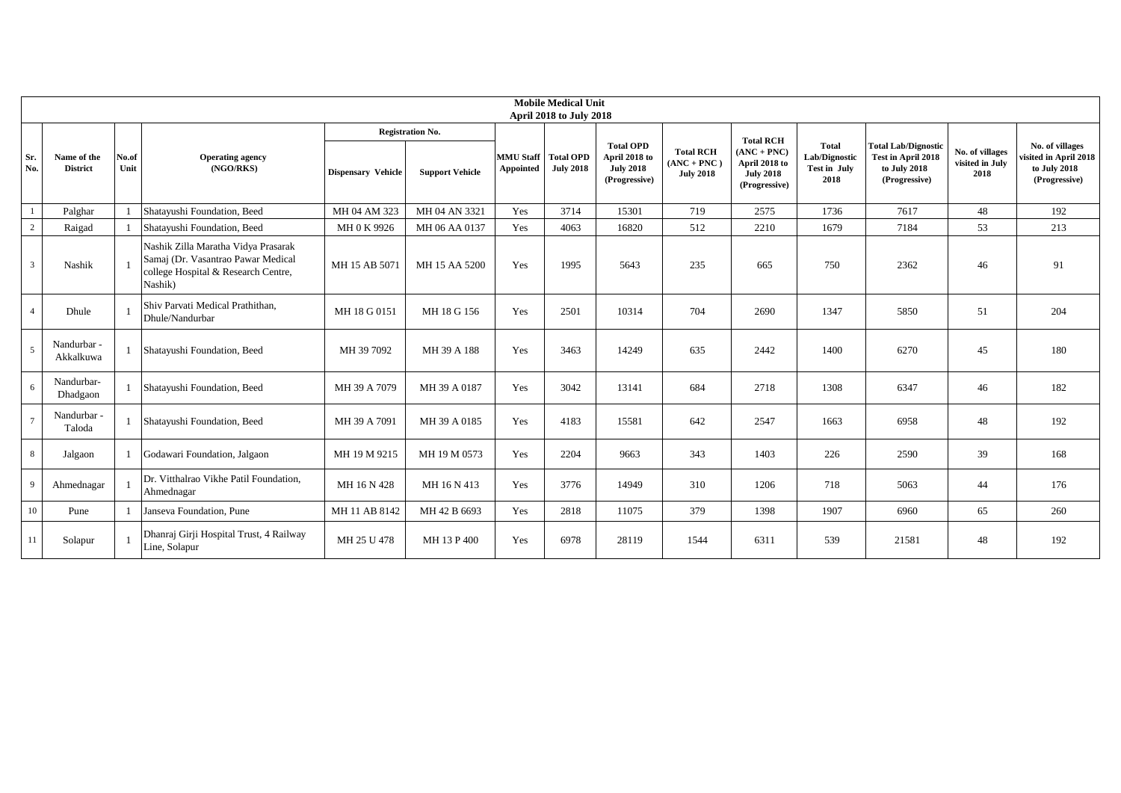| <b>Mobile Medical Unit</b><br>April 2018 to July 2018 |                                |               |                                                                                                                             |                           |                        |                                         |                  |                                                                        |                                                       |                                                                     |                                                |                                                                                   |                                            |                                                                           |
|-------------------------------------------------------|--------------------------------|---------------|-----------------------------------------------------------------------------------------------------------------------------|---------------------------|------------------------|-----------------------------------------|------------------|------------------------------------------------------------------------|-------------------------------------------------------|---------------------------------------------------------------------|------------------------------------------------|-----------------------------------------------------------------------------------|--------------------------------------------|---------------------------------------------------------------------------|
|                                                       |                                |               |                                                                                                                             | <b>Registration No.</b>   |                        |                                         |                  |                                                                        | <b>Total RCH</b>                                      |                                                                     |                                                |                                                                                   |                                            |                                                                           |
| Sr.<br>No.                                            | Name of the<br><b>District</b> | No.of<br>Unit | <b>Operating agency</b><br>(NGO/RKS)                                                                                        | <b>Dispensary Vehicle</b> | <b>Support Vehicle</b> | <b>MMU Staff</b> Total OPD<br>Appointed | <b>July 2018</b> | <b>Total OPD</b><br>April 2018 to<br><b>July 2018</b><br>(Progressive) | <b>Total RCH</b><br>$(ANC + PNC)$<br><b>July 2018</b> | $(ANC + PNC)$<br>April 2018 to<br><b>July 2018</b><br>(Progressive) | Total<br>Lab/Dignostic<br>Test in July<br>2018 | <b>Total Lab/Dignostic</b><br>Test in April 2018<br>to July 2018<br>(Progressive) | No. of villages<br>visited in July<br>2018 | No. of villages<br>visited in April 2018<br>to July 2018<br>(Progressive) |
|                                                       | Palghar                        |               | Shatayushi Foundation, Beed                                                                                                 | MH 04 AM 323              | MH 04 AN 3321          | Yes                                     | 3714             | 15301                                                                  | 719                                                   | 2575                                                                | 1736                                           | 7617                                                                              | 48                                         | 192                                                                       |
| $\overline{c}$                                        | Raigad                         |               | Shatayushi Foundation, Beed                                                                                                 | MH 0 K 9926               | MH 06 AA 0137          | Yes                                     | 4063             | 16820                                                                  | 512                                                   | 2210                                                                | 1679                                           | 7184                                                                              | 53                                         | 213                                                                       |
| 3 <sup>7</sup>                                        | Nashik                         |               | Nashik Zilla Maratha Vidya Prasarak<br>Samaj (Dr. Vasantrao Pawar Medical<br>college Hospital & Research Centre,<br>Nashik) | MH 15 AB 5071             | MH 15 AA 5200          | Yes                                     | 1995             | 5643                                                                   | 235                                                   | 665                                                                 | 750                                            | 2362                                                                              | 46                                         | 91                                                                        |
| $\overline{4}$                                        | Dhule                          |               | Shiv Parvati Medical Prathithan,<br>Dhule/Nandurbar                                                                         | MH 18 G 0151              | MH 18 G 156            | Yes                                     | 2501             | 10314                                                                  | 704                                                   | 2690                                                                | 1347                                           | 5850                                                                              | 51                                         | 204                                                                       |
| 5                                                     | Nandurbar -<br>Akkalkuwa       |               | Shatayushi Foundation, Beed                                                                                                 | MH 39 7092                | MH 39 A 188            | Yes                                     | 3463             | 14249                                                                  | 635                                                   | 2442                                                                | 1400                                           | 6270                                                                              | 45                                         | 180                                                                       |
| 6                                                     | Nandurbar-<br>Dhadgaon         |               | Shatayushi Foundation, Beed                                                                                                 | MH 39 A 7079              | MH 39 A 0187           | Yes                                     | 3042             | 13141                                                                  | 684                                                   | 2718                                                                | 1308                                           | 6347                                                                              | 46                                         | 182                                                                       |
| $\overline{7}$                                        | Nandurbar -<br>Taloda          |               | Shatayushi Foundation, Beed                                                                                                 | MH 39 A 7091              | MH 39 A 0185           | Yes                                     | 4183             | 15581                                                                  | 642                                                   | 2547                                                                | 1663                                           | 6958                                                                              | 48                                         | 192                                                                       |
| 8                                                     | Jalgaon                        |               | Godawari Foundation, Jalgaon                                                                                                | MH 19 M 9215              | MH 19 M 0573           | Yes                                     | 2204             | 9663                                                                   | 343                                                   | 1403                                                                | 226                                            | 2590                                                                              | 39                                         | 168                                                                       |
| 9                                                     | Ahmednagar                     |               | Dr. Vitthalrao Vikhe Patil Foundation,<br>Ahmednagar                                                                        | MH 16 N 428               | MH 16 N 413            | Yes                                     | 3776             | 14949                                                                  | 310                                                   | 1206                                                                | 718                                            | 5063                                                                              | 44                                         | 176                                                                       |
| 10                                                    | Pune                           |               | Janseva Foundation, Pune                                                                                                    | MH 11 AB 8142             | MH 42 B 6693           | Yes                                     | 2818             | 11075                                                                  | 379                                                   | 1398                                                                | 1907                                           | 6960                                                                              | 65                                         | 260                                                                       |
| 11                                                    | Solapur                        |               | Dhanraj Girji Hospital Trust, 4 Railway<br>Line, Solapur                                                                    | MH 25 U 478               | MH 13 P 400            | Yes                                     | 6978             | 28119                                                                  | 1544                                                  | 6311                                                                | 539                                            | 21581                                                                             | 48                                         | 192                                                                       |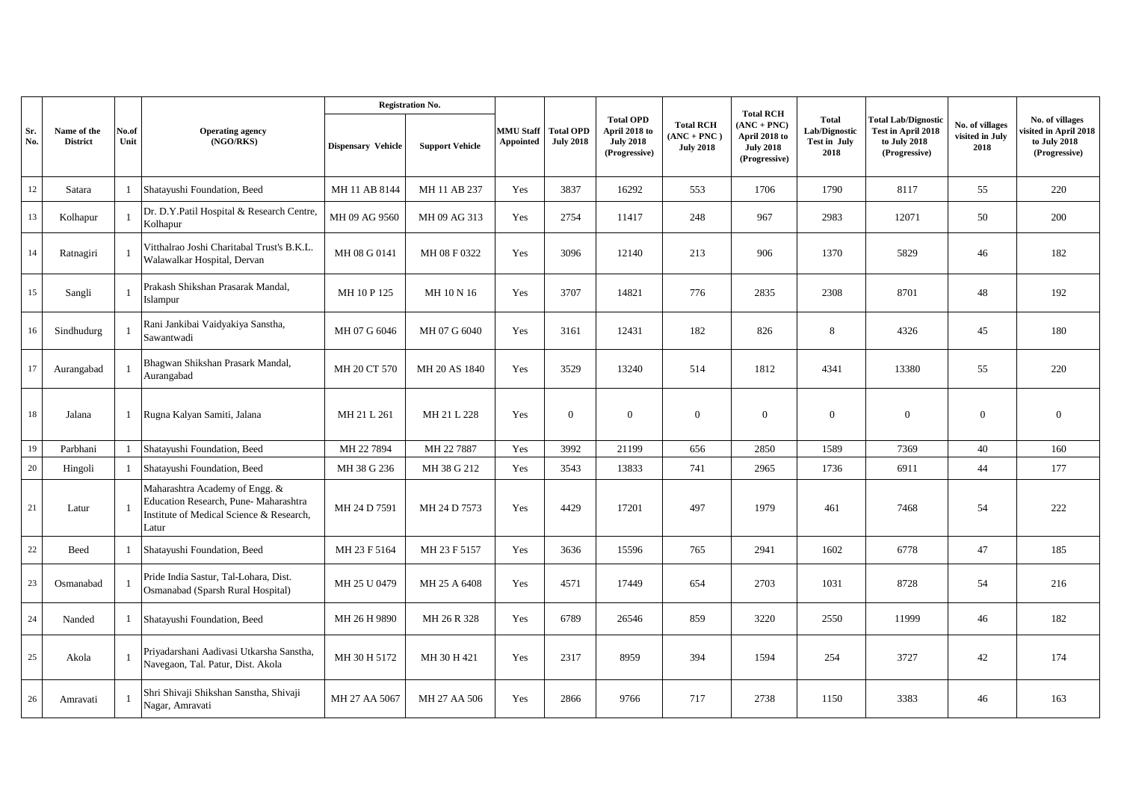|            |                                | No.of<br>Unit | <b>Operating agency</b><br>(NGO/RKS)                                                                                        | <b>Registration No.</b>   |                        |                                      |                                      |                                                                        |                                                       | <b>Total RCH</b>                                                                    |                                                       |                                                                                   |                                            |                                                                         |
|------------|--------------------------------|---------------|-----------------------------------------------------------------------------------------------------------------------------|---------------------------|------------------------|--------------------------------------|--------------------------------------|------------------------------------------------------------------------|-------------------------------------------------------|-------------------------------------------------------------------------------------|-------------------------------------------------------|-----------------------------------------------------------------------------------|--------------------------------------------|-------------------------------------------------------------------------|
| Sr.<br>No. | Name of the<br><b>District</b> |               |                                                                                                                             | <b>Dispensary Vehicle</b> | <b>Support Vehicle</b> | <b>MMU Staff</b><br><b>Appointed</b> | <b>Total OPD</b><br><b>July 2018</b> | <b>Total OPD</b><br>April 2018 to<br><b>July 2018</b><br>(Progressive) | <b>Total RCH</b><br>$(ANC + PNC)$<br><b>July 2018</b> | $\textbf{ANC} + \textbf{PNC}$<br>April 2018 to<br><b>July 2018</b><br>(Progressive) | <b>Total</b><br>Lab/Dignostic<br>Test in July<br>2018 | <b>Total Lab/Dignostic</b><br>Test in April 2018<br>to July 2018<br>(Progressive) | No. of villages<br>visited in July<br>2018 | No. of villages<br>sited in April 2018<br>to July 2018<br>(Progressive) |
| 12         | Satara                         | $\mathbf{1}$  | Shatayushi Foundation, Beed                                                                                                 | MH 11 AB 8144             | MH 11 AB 237           | Yes                                  | 3837                                 | 16292                                                                  | 553                                                   | 1706                                                                                | 1790                                                  | 8117                                                                              | 55                                         | 220                                                                     |
| 13         | Kolhapur                       | 1             | Dr. D.Y.Patil Hospital & Research Centre,<br>Kolhapur                                                                       | MH 09 AG 9560             | MH 09 AG 313           | Yes                                  | 2754                                 | 11417                                                                  | 248                                                   | 967                                                                                 | 2983                                                  | 12071                                                                             | 50                                         | 200                                                                     |
| 14         | Ratnagiri                      |               | Vitthalrao Joshi Charitabal Trust's B.K.L.<br>Walawalkar Hospital, Dervan                                                   | MH 08 G 0141              | MH 08 F 0322           | Yes                                  | 3096                                 | 12140                                                                  | 213                                                   | 906                                                                                 | 1370                                                  | 5829                                                                              | 46                                         | 182                                                                     |
| 15         | Sangli                         | $\mathbf{1}$  | Prakash Shikshan Prasarak Mandal,<br>Íslampur                                                                               | MH 10 P 125               | MH 10 N 16             | Yes                                  | 3707                                 | 14821                                                                  | 776                                                   | 2835                                                                                | 2308                                                  | 8701                                                                              | 48                                         | 192                                                                     |
| 16         | Sindhudurg                     | $\mathbf{1}$  | Rani Jankibai Vaidyakiya Sanstha,<br>Sawantwadi                                                                             | MH 07 G 6046              | MH 07 G 6040           | Yes                                  | 3161                                 | 12431                                                                  | 182                                                   | 826                                                                                 | 8                                                     | 4326                                                                              | 45                                         | 180                                                                     |
| 17         | Aurangabad                     | $\mathbf{1}$  | Bhagwan Shikshan Prasark Mandal,<br>Aurangabad                                                                              | MH 20 CT 570              | MH 20 AS 1840          | Yes                                  | 3529                                 | 13240                                                                  | 514                                                   | 1812                                                                                | 4341                                                  | 13380                                                                             | 55                                         | 220                                                                     |
| 18         | Jalana                         | $\mathbf{1}$  | Rugna Kalyan Samiti, Jalana                                                                                                 | MH 21 L 261               | MH 21 L 228            | Yes                                  | $\overline{0}$                       | $\overline{0}$                                                         | $\overline{0}$                                        | $\mathbf{0}$                                                                        | $\overline{0}$                                        | $\mathbf{0}$                                                                      | $\mathbf{0}$                               | $\overline{0}$                                                          |
| 19         | Parbhani                       | $\mathbf{1}$  | Shatayushi Foundation, Beed                                                                                                 | MH 22 7894                | MH 22 7887             | Yes                                  | 3992                                 | 21199                                                                  | 656                                                   | 2850                                                                                | 1589                                                  | 7369                                                                              | 40                                         | 160                                                                     |
| $20\,$     | Hingoli                        | $\mathbf{1}$  | Shatayushi Foundation, Beed                                                                                                 | MH 38 G 236               | MH 38 G 212            | Yes                                  | 3543                                 | 13833                                                                  | 741                                                   | 2965                                                                                | 1736                                                  | 6911                                                                              | 44                                         | 177                                                                     |
| 21         | Latur                          | $\mathbf{1}$  | Maharashtra Academy of Engg. &<br>Education Research, Pune-Maharashtra<br>Institute of Medical Science & Research.<br>Latur | MH 24 D 7591              | MH 24 D 7573           | Yes                                  | 4429                                 | 17201                                                                  | 497                                                   | 1979                                                                                | 461                                                   | 7468                                                                              | 54                                         | 222                                                                     |
| $22\,$     | Beed                           | $\mathbf{1}$  | Shatayushi Foundation, Beed                                                                                                 | MH 23 F 5164              | MH 23 F 5157           | Yes                                  | 3636                                 | 15596                                                                  | 765                                                   | 2941                                                                                | 1602                                                  | 6778                                                                              | 47                                         | 185                                                                     |
| 23         | Osmanabad                      |               | Pride India Sastur, Tal-Lohara, Dist.<br>Osmanabad (Sparsh Rural Hospital)                                                  | MH 25 U 0479              | MH 25 A 6408           | Yes                                  | 4571                                 | 17449                                                                  | 654                                                   | 2703                                                                                | 1031                                                  | 8728                                                                              | 54                                         | 216                                                                     |
| 24         | Nanded                         |               | 1 Shatayushi Foundation, Beed                                                                                               | MH 26 H 9890              | MH 26 R 328            | Yes                                  | 6789                                 | 26546                                                                  | 859                                                   | 3220                                                                                | 2550                                                  | 11999                                                                             | 46                                         | 182                                                                     |
| $25\,$     | Akola                          |               | Priyadarshani Aadivasi Utkarsha Sanstha,<br>Navegaon, Tal. Patur, Dist. Akola                                               | MH 30 H 5172              | MH 30 H 421            | Yes                                  | 2317                                 | 8959                                                                   | 394                                                   | 1594                                                                                | 254                                                   | 3727                                                                              | 42                                         | 174                                                                     |
| 26         | Amravati                       | $\mathbf{1}$  | Shri Shivaji Shikshan Sanstha, Shivaji<br>Nagar, Amravati                                                                   | MH 27 AA 5067             | MH 27 AA 506           | Yes                                  | 2866                                 | 9766                                                                   | 717                                                   | 2738                                                                                | 1150                                                  | 3383                                                                              | 46                                         | 163                                                                     |